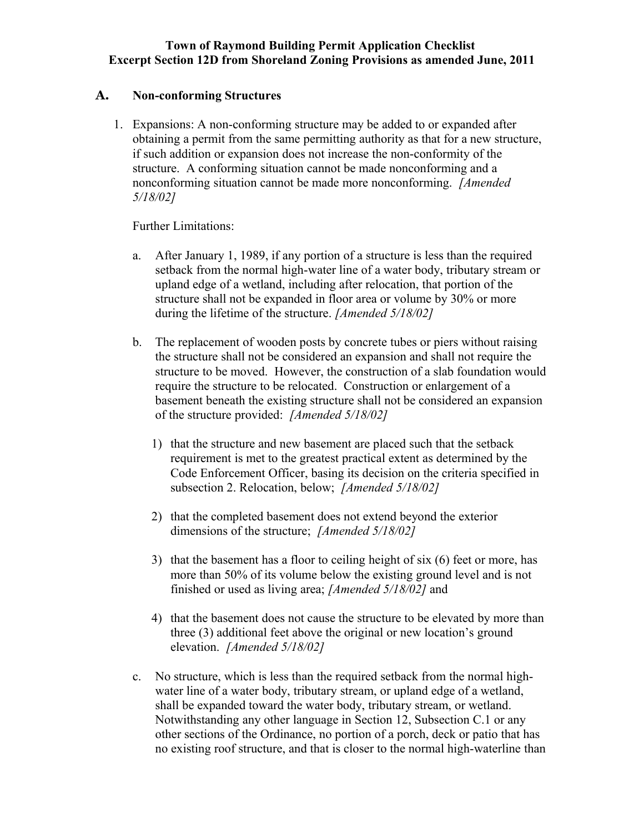## **Town of Raymond Building Permit Application Checklist Excerpt Section 12D from Shoreland Zoning Provisions as amended June, 2011**

## **A. Non-conforming Structures**

1. Expansions: A non-conforming structure may be added to or expanded after obtaining a permit from the same permitting authority as that for a new structure, if such addition or expansion does not increase the non-conformity of the structure. A conforming situation cannot be made nonconforming and a nonconforming situation cannot be made more nonconforming. *[Amended 5/18/02]*

Further Limitations:

- a. After January 1, 1989, if any portion of a structure is less than the required setback from the normal high-water line of a water body, tributary stream or upland edge of a wetland, including after relocation, that portion of the structure shall not be expanded in floor area or volume by 30% or more during the lifetime of the structure. *[Amended 5/18/02]*
- b. The replacement of wooden posts by concrete tubes or piers without raising the structure shall not be considered an expansion and shall not require the structure to be moved. However, the construction of a slab foundation would require the structure to be relocated. Construction or enlargement of a basement beneath the existing structure shall not be considered an expansion of the structure provided: *[Amended 5/18/02]*
	- 1) that the structure and new basement are placed such that the setback requirement is met to the greatest practical extent as determined by the Code Enforcement Officer, basing its decision on the criteria specified in subsection 2. Relocation, below; *[Amended 5/18/02]*
	- 2) that the completed basement does not extend beyond the exterior dimensions of the structure; *[Amended 5/18/02]*
	- 3) that the basement has a floor to ceiling height of six (6) feet or more, has more than 50% of its volume below the existing ground level and is not finished or used as living area; *[Amended 5/18/02]* and
	- 4) that the basement does not cause the structure to be elevated by more than three (3) additional feet above the original or new location's ground elevation. *[Amended 5/18/02]*
- c. No structure, which is less than the required setback from the normal highwater line of a water body, tributary stream, or upland edge of a wetland, shall be expanded toward the water body, tributary stream, or wetland. Notwithstanding any other language in Section 12, Subsection C.1 or any other sections of the Ordinance, no portion of a porch, deck or patio that has no existing roof structure, and that is closer to the normal high-waterline than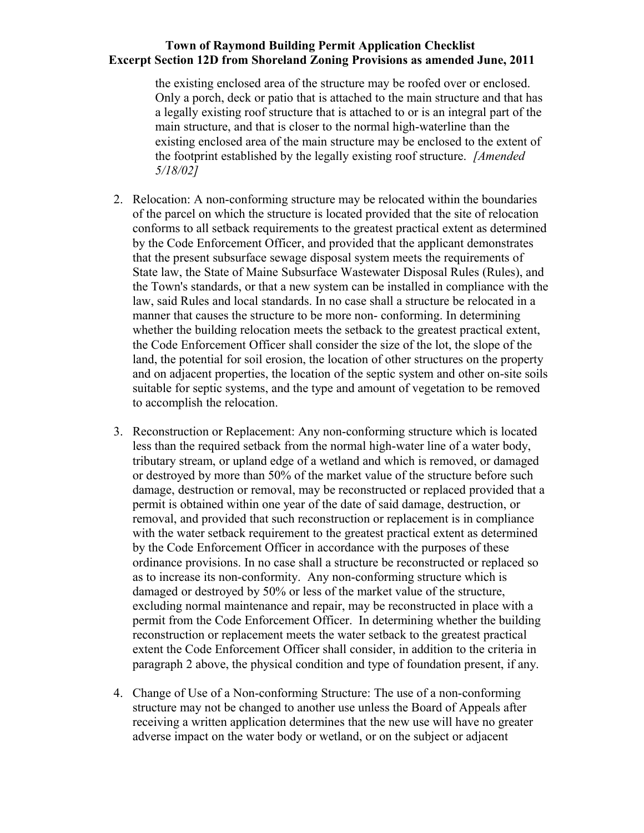## **Town of Raymond Building Permit Application Checklist Excerpt Section 12D from Shoreland Zoning Provisions as amended June, 2011**

the existing enclosed area of the structure may be roofed over or enclosed. Only a porch, deck or patio that is attached to the main structure and that has a legally existing roof structure that is attached to or is an integral part of the main structure, and that is closer to the normal high-waterline than the existing enclosed area of the main structure may be enclosed to the extent of the footprint established by the legally existing roof structure. *[Amended 5/18/02]*

- 2. Relocation: A non-conforming structure may be relocated within the boundaries of the parcel on which the structure is located provided that the site of relocation conforms to all setback requirements to the greatest practical extent as determined by the Code Enforcement Officer, and provided that the applicant demonstrates that the present subsurface sewage disposal system meets the requirements of State law, the State of Maine Subsurface Wastewater Disposal Rules (Rules), and the Town's standards, or that a new system can be installed in compliance with the law, said Rules and local standards. In no case shall a structure be relocated in a manner that causes the structure to be more non- conforming. In determining whether the building relocation meets the setback to the greatest practical extent, the Code Enforcement Officer shall consider the size of the lot, the slope of the land, the potential for soil erosion, the location of other structures on the property and on adjacent properties, the location of the septic system and other on-site soils suitable for septic systems, and the type and amount of vegetation to be removed to accomplish the relocation.
- 3. Reconstruction or Replacement: Any non-conforming structure which is located less than the required setback from the normal high-water line of a water body, tributary stream, or upland edge of a wetland and which is removed, or damaged or destroyed by more than 50% of the market value of the structure before such damage, destruction or removal, may be reconstructed or replaced provided that a permit is obtained within one year of the date of said damage, destruction, or removal, and provided that such reconstruction or replacement is in compliance with the water setback requirement to the greatest practical extent as determined by the Code Enforcement Officer in accordance with the purposes of these ordinance provisions. In no case shall a structure be reconstructed or replaced so as to increase its non-conformity. Any non-conforming structure which is damaged or destroyed by 50% or less of the market value of the structure, excluding normal maintenance and repair, may be reconstructed in place with a permit from the Code Enforcement Officer. In determining whether the building reconstruction or replacement meets the water setback to the greatest practical extent the Code Enforcement Officer shall consider, in addition to the criteria in paragraph 2 above, the physical condition and type of foundation present, if any.
- 4. Change of Use of a Non-conforming Structure: The use of a non-conforming structure may not be changed to another use unless the Board of Appeals after receiving a written application determines that the new use will have no greater adverse impact on the water body or wetland, or on the subject or adjacent